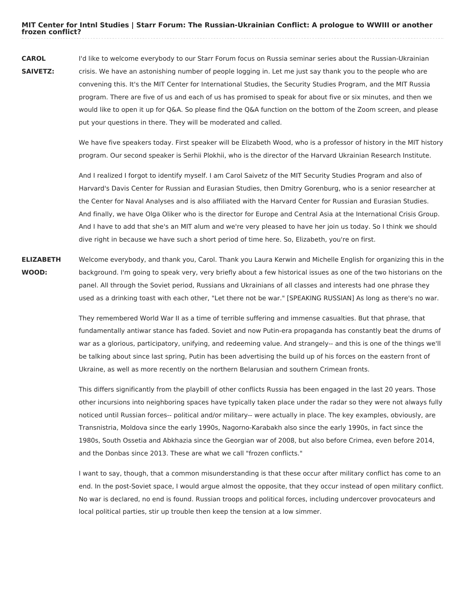**CAROL SAIVETZ:** I'd like to welcome everybody to our Starr Forum focus on Russia seminar series about the Russian-Ukrainian crisis. We have an astonishing number of people logging in. Let me just say thank you to the people who are convening this. It's the MIT Center for International Studies, the Security Studies Program, and the MIT Russia program. There are five of us and each of us has promised to speak for about five or six minutes, and then we would like to open it up for Q&A. So please find the Q&A function on the bottom of the Zoom screen, and please put your questions in there. They will be moderated and called.

> We have five speakers today. First speaker will be Elizabeth Wood, who is a professor of history in the MIT history program. Our second speaker is Serhii Plokhii, who is the director of the Harvard Ukrainian Research Institute.

> And I realized I forgot to identify myself. I am Carol Saivetz of the MIT Security Studies Program and also of Harvard's Davis Center for Russian and Eurasian Studies, then Dmitry Gorenburg, who is a senior researcher at the Center for Naval Analyses and is also affiliated with the Harvard Center for Russian and Eurasian Studies. And finally, we have Olga Oliker who is the director for Europe and Central Asia at the International Crisis Group. And I have to add that she's an MIT alum and we're very pleased to have her join us today. So I think we should dive right in because we have such a short period of time here. So, Elizabeth, you're on first.

**ELIZABETH WOOD:** Welcome everybody, and thank you, Carol. Thank you Laura Kerwin and Michelle English for organizing this in the background. I'm going to speak very, very briefly about a few historical issues as one of the two historians on the panel. All through the Soviet period, Russians and Ukrainians of all classes and interests had one phrase they used as a drinking toast with each other, "Let there not be war." [SPEAKING RUSSIAN] As long as there's no war.

> They remembered World War II as a time of terrible suffering and immense casualties. But that phrase, that fundamentally antiwar stance has faded. Soviet and now Putin-era propaganda has constantly beat the drums of war as a glorious, participatory, unifying, and redeeming value. And strangely-- and this is one of the things we'll be talking about since last spring, Putin has been advertising the build up of his forces on the eastern front of Ukraine, as well as more recently on the northern Belarusian and southern Crimean fronts.

> This differs significantly from the playbill of other conflicts Russia has been engaged in the last 20 years. Those other incursions into neighboring spaces have typically taken place under the radar so they were not always fully noticed until Russian forces-- political and/or military-- were actually in place. The key examples, obviously, are Transnistria, Moldova since the early 1990s, Nagorno-Karabakh also since the early 1990s, in fact since the 1980s, South Ossetia and Abkhazia since the Georgian war of 2008, but also before Crimea, even before 2014, and the Donbas since 2013. These are what we call "frozen conflicts."

> I want to say, though, that a common misunderstanding is that these occur after military conflict has come to an end. In the post-Soviet space, I would argue almost the opposite, that they occur instead of open military conflict. No war is declared, no end is found. Russian troops and political forces, including undercover provocateurs and local political parties, stir up trouble then keep the tension at a low simmer.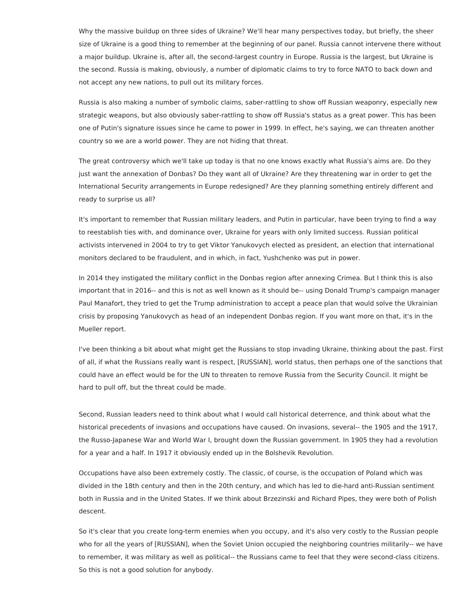Why the massive buildup on three sides of Ukraine? We'll hear many perspectives today, but briefly, the sheer size of Ukraine is a good thing to remember at the beginning of our panel. Russia cannot intervene there without a major buildup. Ukraine is, after all, the second-largest country in Europe. Russia is the largest, but Ukraine is the second. Russia is making, obviously, a number of diplomatic claims to try to force NATO to back down and not accept any new nations, to pull out its military forces.

Russia is also making a number of symbolic claims, saber-rattling to show off Russian weaponry, especially new strategic weapons, but also obviously saber-rattling to show off Russia's status as a great power. This has been one of Putin's signature issues since he came to power in 1999. In effect, he's saying, we can threaten another country so we are a world power. They are not hiding that threat.

The great controversy which we'll take up today is that no one knows exactly what Russia's aims are. Do they just want the annexation of Donbas? Do they want all of Ukraine? Are they threatening war in order to get the International Security arrangements in Europe redesigned? Are they planning something entirely different and ready to surprise us all?

It's important to remember that Russian military leaders, and Putin in particular, have been trying to find a way to reestablish ties with, and dominance over, Ukraine for years with only limited success. Russian political activists intervened in 2004 to try to get Viktor Yanukovych elected as president, an election that international monitors declared to be fraudulent, and in which, in fact, Yushchenko was put in power.

In 2014 they instigated the military conflict in the Donbas region after annexing Crimea. But I think this is also important that in 2016-- and this is not as well known as it should be-- using Donald Trump's campaign manager Paul Manafort, they tried to get the Trump administration to accept a peace plan that would solve the Ukrainian crisis by proposing Yanukovych as head of an independent Donbas region. If you want more on that, it's in the Mueller report.

I've been thinking a bit about what might get the Russians to stop invading Ukraine, thinking about the past. First of all, if what the Russians really want is respect, [RUSSIAN], world status, then perhaps one of the sanctions that could have an effect would be for the UN to threaten to remove Russia from the Security Council. It might be hard to pull off, but the threat could be made.

Second, Russian leaders need to think about what I would call historical deterrence, and think about what the historical precedents of invasions and occupations have caused. On invasions, several-- the 1905 and the 1917, the Russo-Japanese War and World War I, brought down the Russian government. In 1905 they had a revolution for a year and a half. In 1917 it obviously ended up in the Bolshevik Revolution.

Occupations have also been extremely costly. The classic, of course, is the occupation of Poland which was divided in the 18th century and then in the 20th century, and which has led to die-hard anti-Russian sentiment both in Russia and in the United States. If we think about Brzezinski and Richard Pipes, they were both of Polish descent.

So it's clear that you create long-term enemies when you occupy, and it's also very costly to the Russian people who for all the years of [RUSSIAN], when the Soviet Union occupied the neighboring countries militarily-- we have to remember, it was military as well as political-- the Russians came to feel that they were second-class citizens. So this is not a good solution for anybody.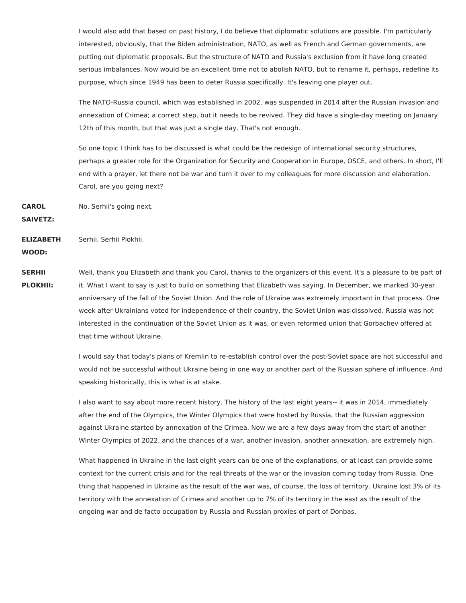I would also add that based on past history, I do believe that diplomatic solutions are possible. I'm particularly interested, obviously, that the Biden administration, NATO, as well as French and German governments, are putting out diplomatic proposals. But the structure of NATO and Russia's exclusion from it have long created serious imbalances. Now would be an excellent time not to abolish NATO, but to rename it, perhaps, redefine its purpose, which since 1949 has been to deter Russia specifically. It's leaving one player out.

The NATO-Russia council, which was established in 2002, was suspended in 2014 after the Russian invasion and annexation of Crimea; a correct step, but it needs to be revived. They did have a single-day meeting on January 12th of this month, but that was just a single day. That's not enough.

So one topic I think has to be discussed is what could be the redesign of international security structures, perhaps a greater role for the Organization for Security and Cooperation in Europe, OSCE, and others. In short, I'll end with a prayer, let there not be war and turn it over to my colleagues for more discussion and elaboration. Carol, are you going next?

**CAROL** No, Serhii's going next.

**SAIVETZ:**

**ELIZABETH** Serhii, Serhii Plokhii.

**WOOD:**

**SERHII PLOKHII:** Well, thank you Elizabeth and thank you Carol, thanks to the organizers of this event. It's a pleasure to be part of it. What I want to say is just to build on something that Elizabeth was saying. In December, we marked 30-year anniversary of the fall of the Soviet Union. And the role of Ukraine was extremely important in that process. One week after Ukrainians voted for independence of their country, the Soviet Union was dissolved. Russia was not interested in the continuation of the Soviet Union as it was, or even reformed union that Gorbachev offered at that time without Ukraine.

> I would say that today's plans of Kremlin to re-establish control over the post-Soviet space are not successful and would not be successful without Ukraine being in one way or another part of the Russian sphere of influence. And speaking historically, this is what is at stake.

I also want to say about more recent history. The history of the last eight years-- it was in 2014, immediately after the end of the Olympics, the Winter Olympics that were hosted by Russia, that the Russian aggression against Ukraine started by annexation of the Crimea. Now we are a few days away from the start of another Winter Olympics of 2022, and the chances of a war, another invasion, another annexation, are extremely high.

What happened in Ukraine in the last eight years can be one of the explanations, or at least can provide some context for the current crisis and for the real threats of the war or the invasion coming today from Russia. One thing that happened in Ukraine as the result of the war was, of course, the loss of territory. Ukraine lost 3% of its territory with the annexation of Crimea and another up to 7% of its territory in the east as the result of the ongoing war and de facto occupation by Russia and Russian proxies of part of Donbas.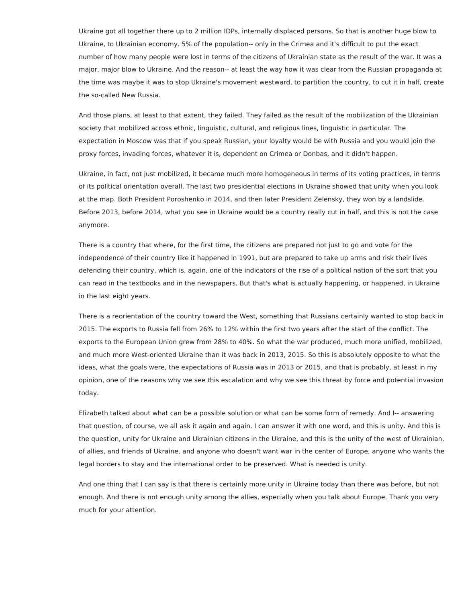Ukraine got all together there up to 2 million IDPs, internally displaced persons. So that is another huge blow to Ukraine, to Ukrainian economy. 5% of the population-- only in the Crimea and it's difficult to put the exact number of how many people were lost in terms of the citizens of Ukrainian state as the result of the war. It was a major, major blow to Ukraine. And the reason-- at least the way how it was clear from the Russian propaganda at the time was maybe it was to stop Ukraine's movement westward, to partition the country, to cut it in half, create the so-called New Russia.

And those plans, at least to that extent, they failed. They failed as the result of the mobilization of the Ukrainian society that mobilized across ethnic, linguistic, cultural, and religious lines, linguistic in particular. The expectation in Moscow was that if you speak Russian, your loyalty would be with Russia and you would join the proxy forces, invading forces, whatever it is, dependent on Crimea or Donbas, and it didn't happen.

Ukraine, in fact, not just mobilized, it became much more homogeneous in terms of its voting practices, in terms of its political orientation overall. The last two presidential elections in Ukraine showed that unity when you look at the map. Both President Poroshenko in 2014, and then later President Zelensky, they won by a landslide. Before 2013, before 2014, what you see in Ukraine would be a country really cut in half, and this is not the case anymore.

There is a country that where, for the first time, the citizens are prepared not just to go and vote for the independence of their country like it happened in 1991, but are prepared to take up arms and risk their lives defending their country, which is, again, one of the indicators of the rise of a political nation of the sort that you can read in the textbooks and in the newspapers. But that's what is actually happening, or happened, in Ukraine in the last eight years.

There is a reorientation of the country toward the West, something that Russians certainly wanted to stop back in 2015. The exports to Russia fell from 26% to 12% within the first two years after the start of the conflict. The exports to the European Union grew from 28% to 40%. So what the war produced, much more unified, mobilized, and much more West-oriented Ukraine than it was back in 2013, 2015. So this is absolutely opposite to what the ideas, what the goals were, the expectations of Russia was in 2013 or 2015, and that is probably, at least in my opinion, one of the reasons why we see this escalation and why we see this threat by force and potential invasion today.

Elizabeth talked about what can be a possible solution or what can be some form of remedy. And I-- answering that question, of course, we all ask it again and again. I can answer it with one word, and this is unity. And this is the question, unity for Ukraine and Ukrainian citizens in the Ukraine, and this is the unity of the west of Ukrainian, of allies, and friends of Ukraine, and anyone who doesn't want war in the center of Europe, anyone who wants the legal borders to stay and the international order to be preserved. What is needed is unity.

And one thing that I can say is that there is certainly more unity in Ukraine today than there was before, but not enough. And there is not enough unity among the allies, especially when you talk about Europe. Thank you very much for your attention.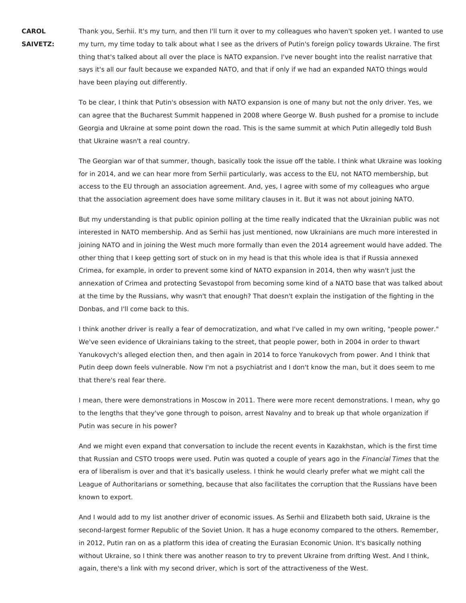**CAROL SAIVETZ:** Thank you, Serhii. It's my turn, and then I'll turn it over to my colleagues who haven't spoken yet. I wanted to use my turn, my time today to talk about what I see as the drivers of Putin's foreign policy towards Ukraine. The first thing that's talked about all over the place is NATO expansion. I've never bought into the realist narrative that says it's all our fault because we expanded NATO, and that if only if we had an expanded NATO things would have been playing out differently.

To be clear, I think that Putin's obsession with NATO expansion is one of many but not the only driver. Yes, we can agree that the Bucharest Summit happened in 2008 where George W. Bush pushed for a promise to include Georgia and Ukraine at some point down the road. This is the same summit at which Putin allegedly told Bush that Ukraine wasn't a real country.

The Georgian war of that summer, though, basically took the issue off the table. I think what Ukraine was looking for in 2014, and we can hear more from Serhii particularly, was access to the EU, not NATO membership, but access to the EU through an association agreement. And, yes, I agree with some of my colleagues who argue that the association agreement does have some military clauses in it. But it was not about joining NATO.

But my understanding is that public opinion polling at the time really indicated that the Ukrainian public was not interested in NATO membership. And as Serhii has just mentioned, now Ukrainians are much more interested in joining NATO and in joining the West much more formally than even the 2014 agreement would have added. The other thing that I keep getting sort of stuck on in my head is that this whole idea is that if Russia annexed Crimea, for example, in order to prevent some kind of NATO expansion in 2014, then why wasn't just the annexation of Crimea and protecting Sevastopol from becoming some kind of a NATO base that was talked about at the time by the Russians, why wasn't that enough? That doesn't explain the instigation of the fighting in the Donbas, and I'll come back to this.

I think another driver is really a fear of democratization, and what I've called in my own writing, "people power." We've seen evidence of Ukrainians taking to the street, that people power, both in 2004 in order to thwart Yanukovych's alleged election then, and then again in 2014 to force Yanukovych from power. And I think that Putin deep down feels vulnerable. Now I'm not a psychiatrist and I don't know the man, but it does seem to me that there's real fear there.

I mean, there were demonstrations in Moscow in 2011. There were more recent demonstrations. I mean, why go to the lengths that they've gone through to poison, arrest Navalny and to break up that whole organization if Putin was secure in his power?

And we might even expand that conversation to include the recent events in Kazakhstan, which is the first time that Russian and CSTO troops were used. Putin was quoted a couple of years ago in the Financial Times that the era of liberalism is over and that it's basically useless. I think he would clearly prefer what we might call the League of Authoritarians or something, because that also facilitates the corruption that the Russians have been known to export.

And I would add to my list another driver of economic issues. As Serhii and Elizabeth both said, Ukraine is the second-largest former Republic of the Soviet Union. It has a huge economy compared to the others. Remember, in 2012, Putin ran on as a platform this idea of creating the Eurasian Economic Union. It's basically nothing without Ukraine, so I think there was another reason to try to prevent Ukraine from drifting West. And I think, again, there's a link with my second driver, which is sort of the attractiveness of the West.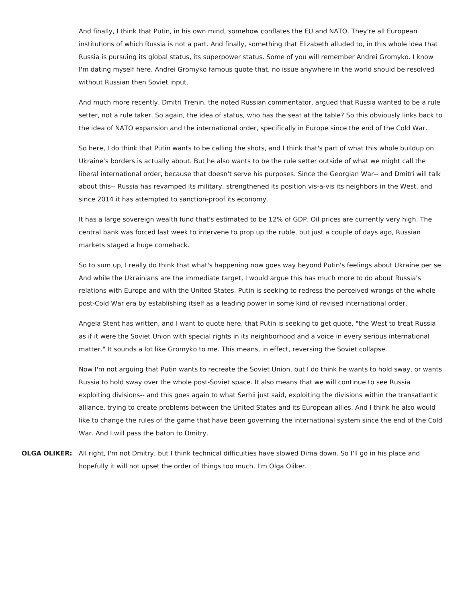And finally, I think that Putin, in his own mind, somehow conflates the EU and NATO. They're all European institutions of which Russia is not a part. And finally, something that Elizabeth alluded to, in this whole idea that Russia is pursuing its global status, its superpower status. Some of you will remember Andrei Gromyko. I know I'm dating myself here. Andrei Gromyko famous quote that, no issue anywhere in the world should be resolved without Russian then Soviet input.

And much more recently, Dmitri Trenin, the noted Russian commentator, argued that Russia wanted to be a rule setter, not a rule taker. So again, the idea of status, who has the seat at the table? So this obviously links back to the idea of NATO expansion and the international order, specifically in Europe since the end of the Cold War.

So here, I do think that Putin wants to be calling the shots, and I think that's part of what this whole buildup on Ukraine's borders is actually about. But he also wants to be the rule setter outside of what we might call the liberal international order, because that doesn't serve his purposes. Since the Georgian War-- and Dmitri will talk about this-- Russia has revamped its military, strengthened its position vis-a-vis its neighbors in the West, and since 2014 it has attempted to sanction-proof its economy.

It has a large sovereign wealth fund that's estimated to be 12% of GDP. Oil prices are currently very high. The central bank was forced last week to intervene to prop up the ruble, but just a couple of days ago, Russian markets staged a huge comeback.

So to sum up, I really do think that what's happening now goes way beyond Putin's feelings about Ukraine per se. And while the Ukrainians are the immediate target, I would argue this has much more to do about Russia's relations with Europe and with the United States. Putin is seeking to redress the perceived wrongs of the whole post-Cold War era by establishing itself as a leading power in some kind of revised international order.

Angela Stent has written, and I want to quote here, that Putin is seeking to get quote, "the West to treat Russia as if it were the Soviet Union with special rights in its neighborhood and a voice in every serious international matter." It sounds a lot like Gromyko to me. This means, in effect, reversing the Soviet collapse.

Now I'm not arguing that Putin wants to recreate the Soviet Union, but I do think he wants to hold sway, or wants Russia to hold sway over the whole post-Soviet space. It also means that we will continue to see Russia exploiting divisions-- and this goes again to what Serhii just said, exploiting the divisions within the transatlantic alliance, trying to create problems between the United States and its European allies. And I think he also would like to change the rules of the game that have been governing the international system since the end of the Cold War. And I will pass the baton to Dmitry.

**OLGA OLIKER:** All right, I'm not Dmitry, but I think technical difficulties have slowed Dima down. So I'll go in his place and hopefully it will not upset the order of things too much. I'm Olga Oliker.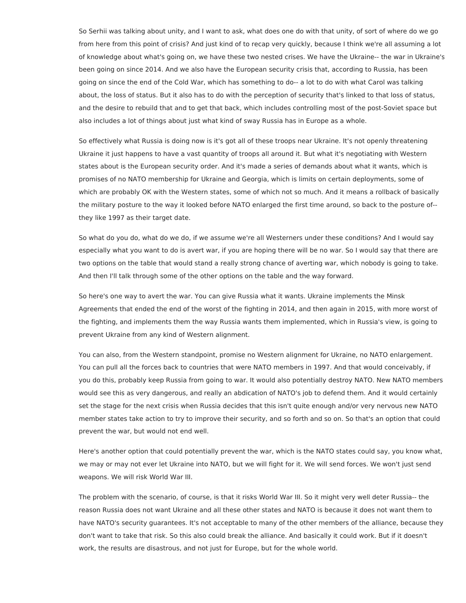So Serhii was talking about unity, and I want to ask, what does one do with that unity, of sort of where do we go from here from this point of crisis? And just kind of to recap very quickly, because I think we're all assuming a lot of knowledge about what's going on, we have these two nested crises. We have the Ukraine-- the war in Ukraine's been going on since 2014. And we also have the European security crisis that, according to Russia, has been going on since the end of the Cold War, which has something to do-- a lot to do with what Carol was talking about, the loss of status. But it also has to do with the perception of security that's linked to that loss of status, and the desire to rebuild that and to get that back, which includes controlling most of the post-Soviet space but also includes a lot of things about just what kind of sway Russia has in Europe as a whole.

So effectively what Russia is doing now is it's got all of these troops near Ukraine. It's not openly threatening Ukraine it just happens to have a vast quantity of troops all around it. But what it's negotiating with Western states about is the European security order. And it's made a series of demands about what it wants, which is promises of no NATO membership for Ukraine and Georgia, which is limits on certain deployments, some of which are probably OK with the Western states, some of which not so much. And it means a rollback of basically the military posture to the way it looked before NATO enlarged the first time around, so back to the posture of- they like 1997 as their target date.

So what do you do, what do we do, if we assume we're all Westerners under these conditions? And I would say especially what you want to do is avert war, if you are hoping there will be no war. So I would say that there are two options on the table that would stand a really strong chance of averting war, which nobody is going to take. And then I'll talk through some of the other options on the table and the way forward.

So here's one way to avert the war. You can give Russia what it wants. Ukraine implements the Minsk Agreements that ended the end of the worst of the fighting in 2014, and then again in 2015, with more worst of the fighting, and implements them the way Russia wants them implemented, which in Russia's view, is going to prevent Ukraine from any kind of Western alignment.

You can also, from the Western standpoint, promise no Western alignment for Ukraine, no NATO enlargement. You can pull all the forces back to countries that were NATO members in 1997. And that would conceivably, if you do this, probably keep Russia from going to war. It would also potentially destroy NATO. New NATO members would see this as very dangerous, and really an abdication of NATO's job to defend them. And it would certainly set the stage for the next crisis when Russia decides that this isn't quite enough and/or very nervous new NATO member states take action to try to improve their security, and so forth and so on. So that's an option that could prevent the war, but would not end well.

Here's another option that could potentially prevent the war, which is the NATO states could say, you know what, we may or may not ever let Ukraine into NATO, but we will fight for it. We will send forces. We won't just send weapons. We will risk World War III.

The problem with the scenario, of course, is that it risks World War III. So it might very well deter Russia-- the reason Russia does not want Ukraine and all these other states and NATO is because it does not want them to have NATO's security guarantees. It's not acceptable to many of the other members of the alliance, because they don't want to take that risk. So this also could break the alliance. And basically it could work. But if it doesn't work, the results are disastrous, and not just for Europe, but for the whole world.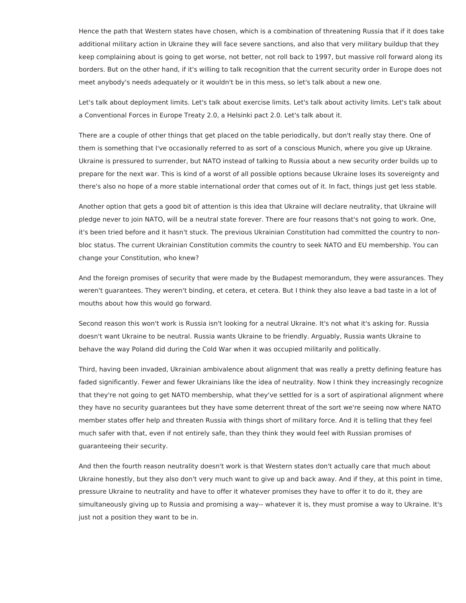Hence the path that Western states have chosen, which is a combination of threatening Russia that if it does take additional military action in Ukraine they will face severe sanctions, and also that very military buildup that they keep complaining about is going to get worse, not better, not roll back to 1997, but massive roll forward along its borders. But on the other hand, if it's willing to talk recognition that the current security order in Europe does not meet anybody's needs adequately or it wouldn't be in this mess, so let's talk about a new one.

Let's talk about deployment limits. Let's talk about exercise limits. Let's talk about activity limits. Let's talk about a Conventional Forces in Europe Treaty 2.0, a Helsinki pact 2.0. Let's talk about it.

There are a couple of other things that get placed on the table periodically, but don't really stay there. One of them is something that I've occasionally referred to as sort of a conscious Munich, where you give up Ukraine. Ukraine is pressured to surrender, but NATO instead of talking to Russia about a new security order builds up to prepare for the next war. This is kind of a worst of all possible options because Ukraine loses its sovereignty and there's also no hope of a more stable international order that comes out of it. In fact, things just get less stable.

Another option that gets a good bit of attention is this idea that Ukraine will declare neutrality, that Ukraine will pledge never to join NATO, will be a neutral state forever. There are four reasons that's not going to work. One, it's been tried before and it hasn't stuck. The previous Ukrainian Constitution had committed the country to nonbloc status. The current Ukrainian Constitution commits the country to seek NATO and EU membership. You can change your Constitution, who knew?

And the foreign promises of security that were made by the Budapest memorandum, they were assurances. They weren't guarantees. They weren't binding, et cetera, et cetera. But I think they also leave a bad taste in a lot of mouths about how this would go forward.

Second reason this won't work is Russia isn't looking for a neutral Ukraine. It's not what it's asking for. Russia doesn't want Ukraine to be neutral. Russia wants Ukraine to be friendly. Arguably, Russia wants Ukraine to behave the way Poland did during the Cold War when it was occupied militarily and politically.

Third, having been invaded, Ukrainian ambivalence about alignment that was really a pretty defining feature has faded significantly. Fewer and fewer Ukrainians like the idea of neutrality. Now I think they increasingly recognize that they're not going to get NATO membership, what they've settled for is a sort of aspirational alignment where they have no security guarantees but they have some deterrent threat of the sort we're seeing now where NATO member states offer help and threaten Russia with things short of military force. And it is telling that they feel much safer with that, even if not entirely safe, than they think they would feel with Russian promises of guaranteeing their security.

And then the fourth reason neutrality doesn't work is that Western states don't actually care that much about Ukraine honestly, but they also don't very much want to give up and back away. And if they, at this point in time, pressure Ukraine to neutrality and have to offer it whatever promises they have to offer it to do it, they are simultaneously giving up to Russia and promising a way-- whatever it is, they must promise a way to Ukraine. It's just not a position they want to be in.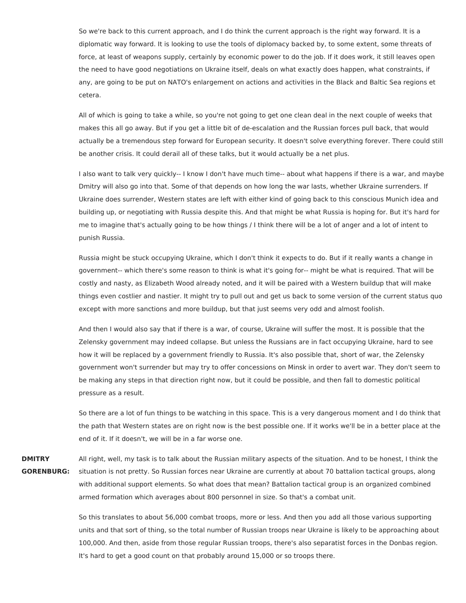So we're back to this current approach, and I do think the current approach is the right way forward. It is a diplomatic way forward. It is looking to use the tools of diplomacy backed by, to some extent, some threats of force, at least of weapons supply, certainly by economic power to do the job. If it does work, it still leaves open the need to have good negotiations on Ukraine itself, deals on what exactly does happen, what constraints, if any, are going to be put on NATO's enlargement on actions and activities in the Black and Baltic Sea regions et cetera.

All of which is going to take a while, so you're not going to get one clean deal in the next couple of weeks that makes this all go away. But if you get a little bit of de-escalation and the Russian forces pull back, that would actually be a tremendous step forward for European security. It doesn't solve everything forever. There could still be another crisis. It could derail all of these talks, but it would actually be a net plus.

I also want to talk very quickly-- I know I don't have much time-- about what happens if there is a war, and maybe Dmitry will also go into that. Some of that depends on how long the war lasts, whether Ukraine surrenders. If Ukraine does surrender, Western states are left with either kind of going back to this conscious Munich idea and building up, or negotiating with Russia despite this. And that might be what Russia is hoping for. But it's hard for me to imagine that's actually going to be how things / I think there will be a lot of anger and a lot of intent to punish Russia.

Russia might be stuck occupying Ukraine, which I don't think it expects to do. But if it really wants a change in government-- which there's some reason to think is what it's going for-- might be what is required. That will be costly and nasty, as Elizabeth Wood already noted, and it will be paired with a Western buildup that will make things even costlier and nastier. It might try to pull out and get us back to some version of the current status quo except with more sanctions and more buildup, but that just seems very odd and almost foolish.

And then I would also say that if there is a war, of course, Ukraine will suffer the most. It is possible that the Zelensky government may indeed collapse. But unless the Russians are in fact occupying Ukraine, hard to see how it will be replaced by a government friendly to Russia. It's also possible that, short of war, the Zelensky government won't surrender but may try to offer concessions on Minsk in order to avert war. They don't seem to be making any steps in that direction right now, but it could be possible, and then fall to domestic political pressure as a result.

So there are a lot of fun things to be watching in this space. This is a very dangerous moment and I do think that the path that Western states are on right now is the best possible one. If it works we'll be in a better place at the end of it. If it doesn't, we will be in a far worse one.

**DMITRY GORENBURG:** All right, well, my task is to talk about the Russian military aspects of the situation. And to be honest, I think the situation is not pretty. So Russian forces near Ukraine are currently at about 70 battalion tactical groups, along with additional support elements. So what does that mean? Battalion tactical group is an organized combined armed formation which averages about 800 personnel in size. So that's a combat unit.

> So this translates to about 56,000 combat troops, more or less. And then you add all those various supporting units and that sort of thing, so the total number of Russian troops near Ukraine is likely to be approaching about 100,000. And then, aside from those regular Russian troops, there's also separatist forces in the Donbas region. It's hard to get a good count on that probably around 15,000 or so troops there.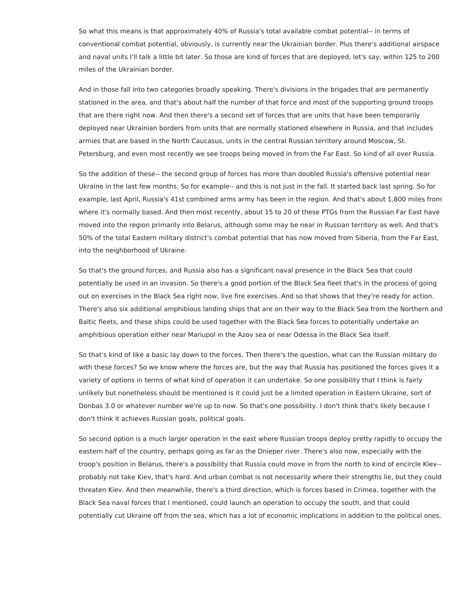So what this means is that approximately 40% of Russia's total available combat potential-- in terms of conventional combat potential, obviously, is currently near the Ukrainian border. Plus there's additional airspace and naval units I'll talk a little bit later. So those are kind of forces that are deployed, let's say, within 125 to 200 miles of the Ukrainian border.

And in those fall into two categories broadly speaking. There's divisions in the brigades that are permanently stationed in the area, and that's about half the number of that force and most of the supporting ground troops that are there right now. And then there's a second set of forces that are units that have been temporarily deployed near Ukrainian borders from units that are normally stationed elsewhere in Russia, and that includes armies that are based in the North Caucasus, units in the central Russian territory around Moscow, St. Petersburg, and even most recently we see troops being moved in from the Far East. So kind of all over Russia.

So the addition of these-- the second group of forces has more than doubled Russia's offensive potential near Ukraine in the last few months. So for example-- and this is not just in the fall. It started back last spring. So for example, last April, Russia's 41st combined arms army has been in the region. And that's about 1,800 miles from where it's normally based. And then most recently, about 15 to 20 of these PTGs from the Russian Far East have moved into the region primarily into Belarus, although some may be near in Russian territory as well. And that's 50% of the total Eastern military district's combat potential that has now moved from Siberia, from the Far East, into the neighborhood of Ukraine.

So that's the ground forces, and Russia also has a significant naval presence in the Black Sea that could potentially be used in an invasion. So there's a good portion of the Black Sea fleet that's in the process of going out on exercises in the Black Sea right now, live fire exercises. And so that shows that they're ready for action. There's also six additional amphibious landing ships that are on their way to the Black Sea from the Northern and Baltic fleets, and these ships could be used together with the Black Sea forces to potentially undertake an amphibious operation either near Mariupol in the Azov sea or near Odessa in the Black Sea itself.

So that's kind of like a basic lay down to the forces. Then there's the question, what can the Russian military do with these forces? So we know where the forces are, but the way that Russia has positioned the forces gives it a variety of options in terms of what kind of operation it can undertake. So one possibility that I think is fairly unlikely but nonetheless should be mentioned is it could just be a limited operation in Eastern Ukraine, sort of Donbas 3.0 or whatever number we're up to now. So that's one possibility. I don't think that's likely because I don't think it achieves Russian goals, political goals.

So second option is a much larger operation in the east where Russian troops deploy pretty rapidly to occupy the eastern half of the country, perhaps going as far as the Dnieper river. There's also now, especially with the troop's position in Belarus, there's a possibility that Russia could move in from the north to kind of encircle Kiev- probably not take Kiev, that's hard. And urban combat is not necessarily where their strengths lie, but they could threaten Kiev. And then meanwhile, there's a third direction, which is forces based in Crimea, together with the Black Sea naval forces that I mentioned, could launch an operation to occupy the south, and that could potentially cut Ukraine off from the sea, which has a lot of economic implications in addition to the political ones.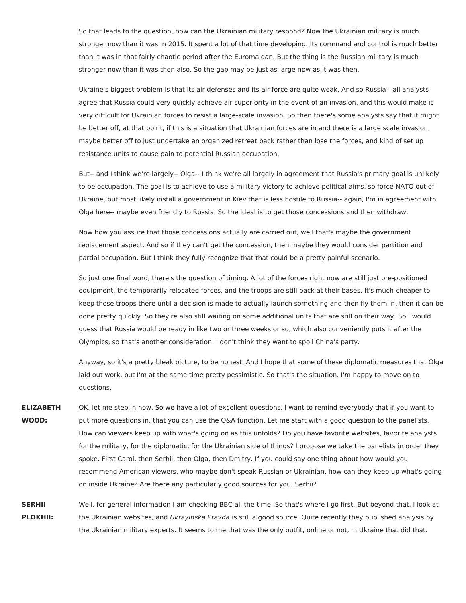So that leads to the question, how can the Ukrainian military respond? Now the Ukrainian military is much stronger now than it was in 2015. It spent a lot of that time developing. Its command and control is much better than it was in that fairly chaotic period after the Euromaidan. But the thing is the Russian military is much stronger now than it was then also. So the gap may be just as large now as it was then.

Ukraine's biggest problem is that its air defenses and its air force are quite weak. And so Russia-- all analysts agree that Russia could very quickly achieve air superiority in the event of an invasion, and this would make it very difficult for Ukrainian forces to resist a large-scale invasion. So then there's some analysts say that it might be better off, at that point, if this is a situation that Ukrainian forces are in and there is a large scale invasion, maybe better off to just undertake an organized retreat back rather than lose the forces, and kind of set up resistance units to cause pain to potential Russian occupation.

But-- and I think we're largely-- Olga-- I think we're all largely in agreement that Russia's primary goal is unlikely to be occupation. The goal is to achieve to use a military victory to achieve political aims, so force NATO out of Ukraine, but most likely install a government in Kiev that is less hostile to Russia-- again, I'm in agreement with Olga here-- maybe even friendly to Russia. So the ideal is to get those concessions and then withdraw.

Now how you assure that those concessions actually are carried out, well that's maybe the government replacement aspect. And so if they can't get the concession, then maybe they would consider partition and partial occupation. But I think they fully recognize that that could be a pretty painful scenario.

So just one final word, there's the question of timing. A lot of the forces right now are still just pre-positioned equipment, the temporarily relocated forces, and the troops are still back at their bases. It's much cheaper to keep those troops there until a decision is made to actually launch something and then fly them in, then it can be done pretty quickly. So they're also still waiting on some additional units that are still on their way. So I would guess that Russia would be ready in like two or three weeks or so, which also conveniently puts it after the Olympics, so that's another consideration. I don't think they want to spoil China's party.

Anyway, so it's a pretty bleak picture, to be honest. And I hope that some of these diplomatic measures that Olga laid out work, but I'm at the same time pretty pessimistic. So that's the situation. I'm happy to move on to questions.

**ELIZABETH WOOD:** OK, let me step in now. So we have a lot of excellent questions. I want to remind everybody that if you want to put more questions in, that you can use the Q&A function. Let me start with a good question to the panelists. How can viewers keep up with what's going on as this unfolds? Do you have favorite websites, favorite analysts for the military, for the diplomatic, for the Ukrainian side of things? I propose we take the panelists in order they spoke. First Carol, then Serhii, then Olga, then Dmitry. If you could say one thing about how would you recommend American viewers, who maybe don't speak Russian or Ukrainian, how can they keep up what's going on inside Ukraine? Are there any particularly good sources for you, Serhii?

**SERHII PLOKHII:** Well, for general information I am checking BBC all the time. So that's where I go first. But beyond that, I look at the Ukrainian websites, and Ukrayinska Pravda is still a good source. Quite recently they published analysis by the Ukrainian military experts. It seems to me that was the only outfit, online or not, in Ukraine that did that.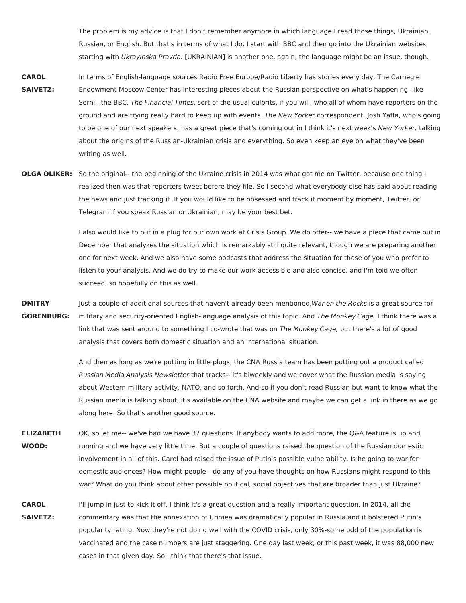The problem is my advice is that I don't remember anymore in which language I read those things, Ukrainian, Russian, or English. But that's in terms of what I do. I start with BBC and then go into the Ukrainian websites starting with Ukrayinska Pravda. [UKRAINIAN] is another one, again, the language might be an issue, though.

- **CAROL SAIVETZ:** In terms of English-language sources Radio Free Europe/Radio Liberty has stories every day. The Carnegie Endowment Moscow Center has interesting pieces about the Russian perspective on what's happening, like Serhii, the BBC, The Financial Times, sort of the usual culprits, if you will, who all of whom have reporters on the ground and are trying really hard to keep up with events. The New Yorker correspondent, Josh Yaffa, who's going to be one of our next speakers, has a great piece that's coming out in I think it's next week's New Yorker, talking about the origins of the Russian-Ukrainian crisis and everything. So even keep an eye on what they've been writing as well.
- **OLGA OLIKER:** So the original-- the beginning of the Ukraine crisis in 2014 was what got me on Twitter, because one thing I realized then was that reporters tweet before they file. So I second what everybody else has said about reading the news and just tracking it. If you would like to be obsessed and track it moment by moment, Twitter, or Telegram if you speak Russian or Ukrainian, may be your best bet.

I also would like to put in a plug for our own work at Crisis Group. We do offer-- we have a piece that came out in December that analyzes the situation which is remarkably still quite relevant, though we are preparing another one for next week. And we also have some podcasts that address the situation for those of you who prefer to listen to your analysis. And we do try to make our work accessible and also concise, and I'm told we often succeed, so hopefully on this as well.

**DMITRY GORENBURG:** Just a couple of additional sources that haven't already been mentioned, War on the Rocks is a great source for military and security-oriented English-language analysis of this topic. And The Monkey Cage, I think there was a link that was sent around to something I co-wrote that was on The Monkey Cage, but there's a lot of good analysis that covers both domestic situation and an international situation.

> And then as long as we're putting in little plugs, the CNA Russia team has been putting out a product called Russian Media Analysis Newsletter that tracks-- it's biweekly and we cover what the Russian media is saying about Western military activity, NATO, and so forth. And so if you don't read Russian but want to know what the Russian media is talking about, it's available on the CNA website and maybe we can get a link in there as we go along here. So that's another good source.

**ELIZABETH WOOD:** OK, so let me-- we've had we have 37 questions. If anybody wants to add more, the Q&A feature is up and running and we have very little time. But a couple of questions raised the question of the Russian domestic involvement in all of this. Carol had raised the issue of Putin's possible vulnerability. Is he going to war for domestic audiences? How might people-- do any of you have thoughts on how Russians might respond to this war? What do you think about other possible political, social objectives that are broader than just Ukraine?

**CAROL SAIVETZ:** I'll jump in just to kick it off. I think it's a great question and a really important question. In 2014, all the commentary was that the annexation of Crimea was dramatically popular in Russia and it bolstered Putin's popularity rating. Now they're not doing well with the COVID crisis, only 30%-some odd of the population is vaccinated and the case numbers are just staggering. One day last week, or this past week, it was 88,000 new cases in that given day. So I think that there's that issue.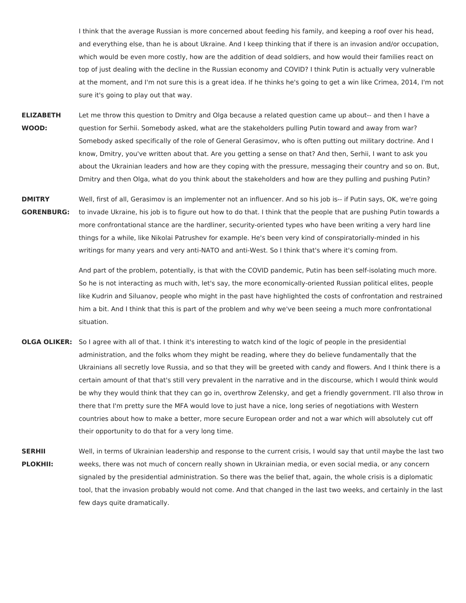I think that the average Russian is more concerned about feeding his family, and keeping a roof over his head, and everything else, than he is about Ukraine. And I keep thinking that if there is an invasion and/or occupation, which would be even more costly, how are the addition of dead soldiers, and how would their families react on top of just dealing with the decline in the Russian economy and COVID? I think Putin is actually very vulnerable at the moment, and I'm not sure this is a great idea. If he thinks he's going to get a win like Crimea, 2014, I'm not sure it's going to play out that way.

- **ELIZABETH WOOD:** Let me throw this question to Dmitry and Olga because a related question came up about-- and then I have a question for Serhii. Somebody asked, what are the stakeholders pulling Putin toward and away from war? Somebody asked specifically of the role of General Gerasimov, who is often putting out military doctrine. And I know, Dmitry, you've written about that. Are you getting a sense on that? And then, Serhii, I want to ask you about the Ukrainian leaders and how are they coping with the pressure, messaging their country and so on. But, Dmitry and then Olga, what do you think about the stakeholders and how are they pulling and pushing Putin?
- **DMITRY GORENBURG:** Well, first of all, Gerasimov is an implementer not an influencer. And so his job is-- if Putin says, OK, we're going to invade Ukraine, his job is to figure out how to do that. I think that the people that are pushing Putin towards a more confrontational stance are the hardliner, security-oriented types who have been writing a very hard line things for a while, like Nikolai Patrushev for example. He's been very kind of conspiratorially-minded in his writings for many years and very anti-NATO and anti-West. So I think that's where it's coming from.

And part of the problem, potentially, is that with the COVID pandemic, Putin has been self-isolating much more. So he is not interacting as much with, let's say, the more economically-oriented Russian political elites, people like Kudrin and Siluanov, people who might in the past have highlighted the costs of confrontation and restrained him a bit. And I think that this is part of the problem and why we've been seeing a much more confrontational situation.

- **OLGA OLIKER:** So I agree with all of that. I think it's interesting to watch kind of the logic of people in the presidential administration, and the folks whom they might be reading, where they do believe fundamentally that the Ukrainians all secretly love Russia, and so that they will be greeted with candy and flowers. And I think there is a certain amount of that that's still very prevalent in the narrative and in the discourse, which I would think would be why they would think that they can go in, overthrow Zelensky, and get a friendly government. I'll also throw in there that I'm pretty sure the MFA would love to just have a nice, long series of negotiations with Western countries about how to make a better, more secure European order and not a war which will absolutely cut off their opportunity to do that for a very long time.
- **SERHII PLOKHII:** Well, in terms of Ukrainian leadership and response to the current crisis, I would say that until maybe the last two weeks, there was not much of concern really shown in Ukrainian media, or even social media, or any concern signaled by the presidential administration. So there was the belief that, again, the whole crisis is a diplomatic tool, that the invasion probably would not come. And that changed in the last two weeks, and certainly in the last few days quite dramatically.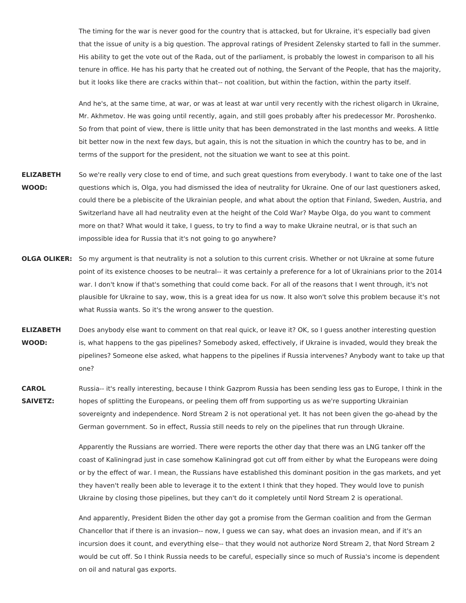The timing for the war is never good for the country that is attacked, but for Ukraine, it's especially bad given that the issue of unity is a big question. The approval ratings of President Zelensky started to fall in the summer. His ability to get the vote out of the Rada, out of the parliament, is probably the lowest in comparison to all his tenure in office. He has his party that he created out of nothing, the Servant of the People, that has the majority, but it looks like there are cracks within that-- not coalition, but within the faction, within the party itself.

And he's, at the same time, at war, or was at least at war until very recently with the richest oligarch in Ukraine, Mr. Akhmetov. He was going until recently, again, and still goes probably after his predecessor Mr. Poroshenko. So from that point of view, there is little unity that has been demonstrated in the last months and weeks. A little bit better now in the next few days, but again, this is not the situation in which the country has to be, and in terms of the support for the president, not the situation we want to see at this point.

- **ELIZABETH WOOD:** So we're really very close to end of time, and such great questions from everybody. I want to take one of the last questions which is, Olga, you had dismissed the idea of neutrality for Ukraine. One of our last questioners asked, could there be a plebiscite of the Ukrainian people, and what about the option that Finland, Sweden, Austria, and Switzerland have all had neutrality even at the height of the Cold War? Maybe Olga, do you want to comment more on that? What would it take, I guess, to try to find a way to make Ukraine neutral, or is that such an impossible idea for Russia that it's not going to go anywhere?
- **OLGA OLIKER:** So my argument is that neutrality is not a solution to this current crisis. Whether or not Ukraine at some future point of its existence chooses to be neutral-- it was certainly a preference for a lot of Ukrainians prior to the 2014 war. I don't know if that's something that could come back. For all of the reasons that I went through, it's not plausible for Ukraine to say, wow, this is a great idea for us now. It also won't solve this problem because it's not what Russia wants. So it's the wrong answer to the question.
- **ELIZABETH WOOD:** Does anybody else want to comment on that real quick, or leave it? OK, so I guess another interesting question is, what happens to the gas pipelines? Somebody asked, effectively, if Ukraine is invaded, would they break the pipelines? Someone else asked, what happens to the pipelines if Russia intervenes? Anybody want to take up that one?
- **CAROL SAIVETZ:** Russia-- it's really interesting, because I think Gazprom Russia has been sending less gas to Europe, I think in the hopes of splitting the Europeans, or peeling them off from supporting us as we're supporting Ukrainian sovereignty and independence. Nord Stream 2 is not operational yet. It has not been given the go-ahead by the German government. So in effect, Russia still needs to rely on the pipelines that run through Ukraine.

Apparently the Russians are worried. There were reports the other day that there was an LNG tanker off the coast of Kaliningrad just in case somehow Kaliningrad got cut off from either by what the Europeans were doing or by the effect of war. I mean, the Russians have established this dominant position in the gas markets, and yet they haven't really been able to leverage it to the extent I think that they hoped. They would love to punish Ukraine by closing those pipelines, but they can't do it completely until Nord Stream 2 is operational.

And apparently, President Biden the other day got a promise from the German coalition and from the German Chancellor that if there is an invasion-- now, I guess we can say, what does an invasion mean, and if it's an incursion does it count, and everything else-- that they would not authorize Nord Stream 2, that Nord Stream 2 would be cut off. So I think Russia needs to be careful, especially since so much of Russia's income is dependent on oil and natural gas exports.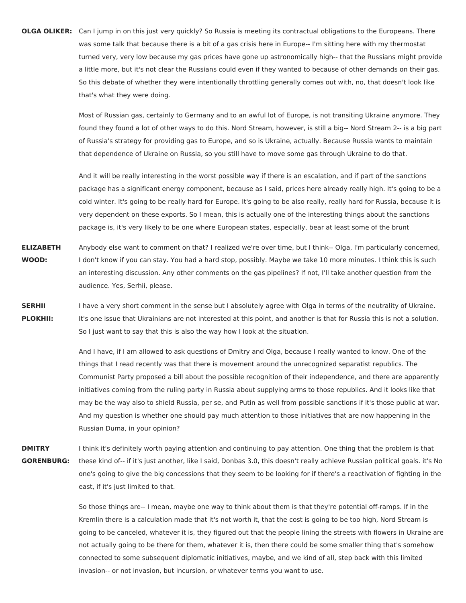**OLGA OLIKER:** Can I jump in on this just very quickly? So Russia is meeting its contractual obligations to the Europeans. There was some talk that because there is a bit of a gas crisis here in Europe-- I'm sitting here with my thermostat turned very, very low because my gas prices have gone up astronomically high-- that the Russians might provide a little more, but it's not clear the Russians could even if they wanted to because of other demands on their gas. So this debate of whether they were intentionally throttling generally comes out with, no, that doesn't look like that's what they were doing.

> Most of Russian gas, certainly to Germany and to an awful lot of Europe, is not transiting Ukraine anymore. They found they found a lot of other ways to do this. Nord Stream, however, is still a big-- Nord Stream 2-- is a big part of Russia's strategy for providing gas to Europe, and so is Ukraine, actually. Because Russia wants to maintain that dependence of Ukraine on Russia, so you still have to move some gas through Ukraine to do that.

> And it will be really interesting in the worst possible way if there is an escalation, and if part of the sanctions package has a significant energy component, because as I said, prices here already really high. It's going to be a cold winter. It's going to be really hard for Europe. It's going to be also really, really hard for Russia, because it is very dependent on these exports. So I mean, this is actually one of the interesting things about the sanctions package is, it's very likely to be one where European states, especially, bear at least some of the brunt

- **ELIZABETH WOOD:** Anybody else want to comment on that? I realized we're over time, but I think-- Olga, I'm particularly concerned, I don't know if you can stay. You had a hard stop, possibly. Maybe we take 10 more minutes. I think this is such an interesting discussion. Any other comments on the gas pipelines? If not, I'll take another question from the audience. Yes, Serhii, please.
- **SERHII PLOKHII:** I have a very short comment in the sense but I absolutely agree with Olga in terms of the neutrality of Ukraine. It's one issue that Ukrainians are not interested at this point, and another is that for Russia this is not a solution. So I just want to say that this is also the way how I look at the situation.

And I have, if I am allowed to ask questions of Dmitry and Olga, because I really wanted to know. One of the things that I read recently was that there is movement around the unrecognized separatist republics. The Communist Party proposed a bill about the possible recognition of their independence, and there are apparently initiatives coming from the ruling party in Russia about supplying arms to those republics. And it looks like that may be the way also to shield Russia, per se, and Putin as well from possible sanctions if it's those public at war. And my question is whether one should pay much attention to those initiatives that are now happening in the Russian Duma, in your opinion?

**DMITRY GORENBURG:** I think it's definitely worth paying attention and continuing to pay attention. One thing that the problem is that these kind of-- if it's just another, like I said, Donbas 3.0, this doesn't really achieve Russian political goals. it's No one's going to give the big concessions that they seem to be looking for if there's a reactivation of fighting in the east, if it's just limited to that.

> So those things are-- I mean, maybe one way to think about them is that they're potential off-ramps. If in the Kremlin there is a calculation made that it's not worth it, that the cost is going to be too high, Nord Stream is going to be canceled, whatever it is, they figured out that the people lining the streets with flowers in Ukraine are not actually going to be there for them, whatever it is, then there could be some smaller thing that's somehow connected to some subsequent diplomatic initiatives, maybe, and we kind of all, step back with this limited invasion-- or not invasion, but incursion, or whatever terms you want to use.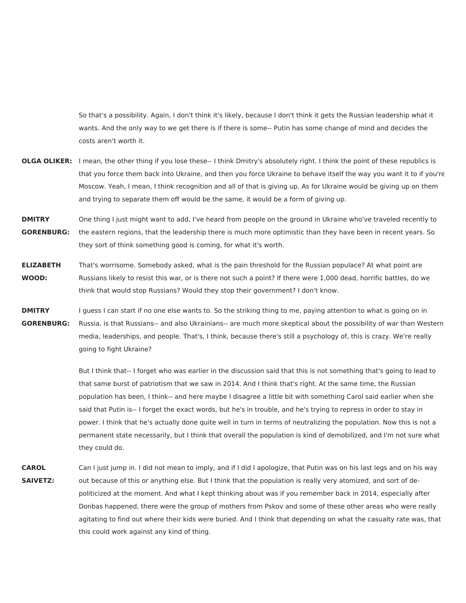So that's a possibility. Again, I don't think it's likely, because I don't think it gets the Russian leadership what it wants. And the only way to we get there is if there is some-- Putin has some change of mind and decides the costs aren't worth it.

- **OLGA OLIKER:** I mean, the other thing if you lose these-- I think Dmitry's absolutely right. I think the point of these republics is that you force them back into Ukraine, and then you force Ukraine to behave itself the way you want it to if you're Moscow. Yeah, I mean, I think recognition and all of that is giving up. As for Ukraine would be giving up on them and trying to separate them off would be the same, it would be a form of giving up.
- **DMITRY GORENBURG:** One thing I just might want to add, I've heard from people on the ground in Ukraine who've traveled recently to the eastern regions, that the leadership there is much more optimistic than they have been in recent years. So they sort of think something good is coming, for what it's worth.
- **ELIZABETH WOOD:** That's worrisome. Somebody asked, what is the pain threshold for the Russian populace? At what point are Russians likely to resist this war, or is there not such a point? If there were 1,000 dead, horrific battles, do we think that would stop Russians? Would they stop their government? I don't know.
- **DMITRY GORENBURG:** I guess I can start if no one else wants to. So the striking thing to me, paying attention to what is going on in Russia, is that Russians-- and also Ukrainians-- are much more skeptical about the possibility of war than Western media, leaderships, and people. That's, I think, because there's still a psychology of, this is crazy. We're really going to fight Ukraine?

But I think that-- I forget who was earlier in the discussion said that this is not something that's going to lead to that same burst of patriotism that we saw in 2014. And I think that's right. At the same time, the Russian population has been, I think-- and here maybe I disagree a little bit with something Carol said earlier when she said that Putin is-- I forget the exact words, but he's in trouble, and he's trying to repress in order to stay in power. I think that he's actually done quite well in turn in terms of neutralizing the population. Now this is not a permanent state necessarily, but I think that overall the population is kind of demobilized, and I'm not sure what they could do.

**CAROL SAIVETZ:** Can I just jump in. I did not mean to imply, and if I did I apologize, that Putin was on his last legs and on his way out because of this or anything else. But I think that the population is really very atomized, and sort of depoliticized at the moment. And what I kept thinking about was if you remember back in 2014, especially after Donbas happened, there were the group of mothers from Pskov and some of these other areas who were really agitating to find out where their kids were buried. And I think that depending on what the casualty rate was, that this could work against any kind of thing.